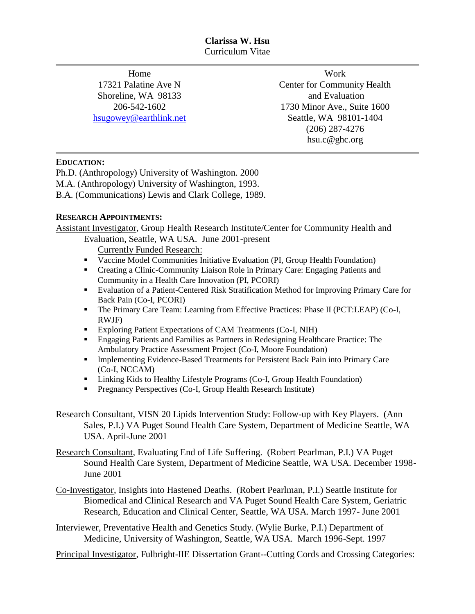Home 17321 Palatine Ave N Shoreline, WA 98133 206-542-1602 [hsugowey@earthlink.net](mailto:hsugowey@earthlink.net)

Work Center for Community Health and Evaluation 1730 Minor Ave., Suite 1600 Seattle, WA 98101-1404 (206) 287-4276 hsu.c@ghc.org

## **EDUCATION:**

Ph.D. (Anthropology) University of Washington. 2000 M.A. (Anthropology) University of Washington, 1993. B.A. (Communications) Lewis and Clark College, 1989.

## **RESEARCH APPOINTMENTS:**

Assistant Investigator, Group Health Research Institute/Center for Community Health and Evaluation, Seattle, WA USA. June 2001-present

Currently Funded Research:

- Vaccine Model Communities Initiative Evaluation (PI, Group Health Foundation)
- Creating a Clinic-Community Liaison Role in Primary Care: Engaging Patients and Community in a Health Care Innovation (PI, PCORI)
- Evaluation of a Patient-Centered Risk Stratification Method for Improving Primary Care for Back Pain (Co-I, PCORI)
- The Primary Care Team: Learning from Effective Practices: Phase II (PCT:LEAP) (Co-I, RWJF)
- Exploring Patient Expectations of CAM Treatments (Co-I, NIH)
- Engaging Patients and Families as Partners in Redesigning Healthcare Practice: The Ambulatory Practice Assessment Project (Co-I, Moore Foundation)
- Implementing Evidence-Based Treatments for Persistent Back Pain into Primary Care (Co-I, NCCAM)
- **Exercise 1** Linking Kids to Healthy Lifestyle Programs (Co-I, Group Health Foundation)
- Pregnancy Perspectives (Co-I, Group Health Research Institute)

Research Consultant, VISN 20 Lipids Intervention Study: Follow-up with Key Players. (Ann Sales, P.I.) VA Puget Sound Health Care System, Department of Medicine Seattle, WA USA. April-June 2001

Research Consultant, Evaluating End of Life Suffering. (Robert Pearlman, P.I.) VA Puget Sound Health Care System, Department of Medicine Seattle, WA USA. December 1998- June 2001

Co-Investigator, Insights into Hastened Deaths. (Robert Pearlman, P.I.) Seattle Institute for Biomedical and Clinical Research and VA Puget Sound Health Care System, Geriatric Research, Education and Clinical Center, Seattle, WA USA. March 1997- June 2001

Interviewer, Preventative Health and Genetics Study. (Wylie Burke, P.I.) Department of Medicine, University of Washington, Seattle, WA USA. March 1996-Sept. 1997

Principal Investigator, Fulbright-IIE Dissertation Grant--Cutting Cords and Crossing Categories: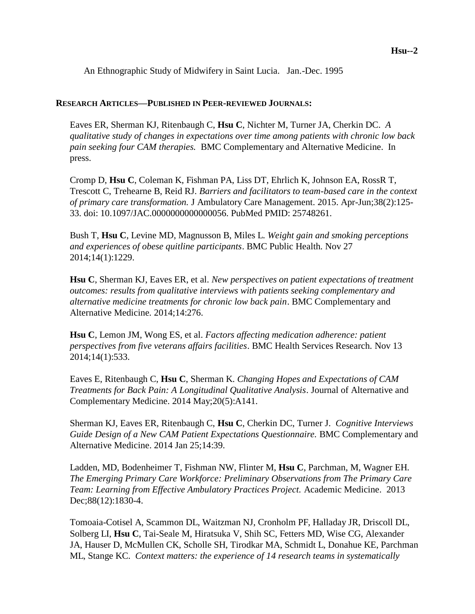An Ethnographic Study of Midwifery in Saint Lucia. Jan.-Dec. 1995

#### **RESEARCH ARTICLES—PUBLISHED IN PEER-REVIEWED JOURNALS:**

Eaves ER, Sherman KJ, Ritenbaugh C, **Hsu C**, Nichter M, Turner JA, Cherkin DC. *A qualitative study of changes in expectations over time among patients with chronic low back pain seeking four CAM therapies.* BMC Complementary and Alternative Medicine. In press.

Cromp D, **Hsu C**, Coleman K, Fishman PA, Liss DT, Ehrlich K, Johnson EA, RossR T, Trescott C, Trehearne B, Reid RJ. *Barriers and facilitators to team-based care in the context of primary care transformation.* J Ambulatory Care Management. 2015. Apr-Jun;38(2):125- 33. doi: 10.1097/JAC.0000000000000056. PubMed PMID: 25748261.

Bush T, **Hsu C**, Levine MD, Magnusson B, Miles L. *Weight gain and smoking perceptions and experiences of obese quitline participants*. BMC Public Health*.* Nov 27 2014;14(1):1229.

**Hsu C**, Sherman KJ, Eaves ER, et al. *New perspectives on patient expectations of treatment outcomes: results from qualitative interviews with patients seeking complementary and alternative medicine treatments for chronic low back pain*. BMC Complementary and Alternative Medicine*.* 2014;14:276.

**Hsu C**, Lemon JM, Wong ES, et al. *Factors affecting medication adherence: patient perspectives from five veterans affairs facilities*. BMC Health Services Research*.* Nov 13 2014;14(1):533.

Eaves E, Ritenbaugh C, **Hsu C**, Sherman K. *Changing Hopes and Expectations of CAM Treatments for Back Pain: A Longitudinal Qualitative Analysis*. Journal of Alternative and Complementary Medicine. 2014 May;20(5):A141.

Sherman KJ, Eaves ER, Ritenbaugh C, **Hsu C**, Cherkin DC, Turner J. *Cognitive Interviews Guide Design of a New CAM Patient Expectations Questionnaire.* BMC Complementary and Alternative Medicine. 2014 Jan 25;14:39.

Ladden, MD, Bodenheimer T, Fishman NW, Flinter M, **Hsu C**, Parchman, M, Wagner EH. *The Emerging Primary Care Workforce: Preliminary Observations from The Primary Care Team: Learning from Effective Ambulatory Practices Project.* Academic Medicine. 2013 Dec;88(12):1830-4.

Tomoaia-Cotisel A, Scammon DL, Waitzman NJ, Cronholm PF, Halladay JR, Driscoll DL, Solberg LI, **Hsu C**, Tai-Seale M, Hiratsuka V, Shih SC, Fetters MD, Wise CG, Alexander JA, Hauser D, McMullen CK, Scholle SH, Tirodkar MA, Schmidt L, Donahue KE, Parchman ML, Stange KC. *[Context matters: the experience of 14 research teams in systematically](http://www.ncbi.nlm.nih.gov.offcampus.lib.washington.edu/pubmed/23690380)*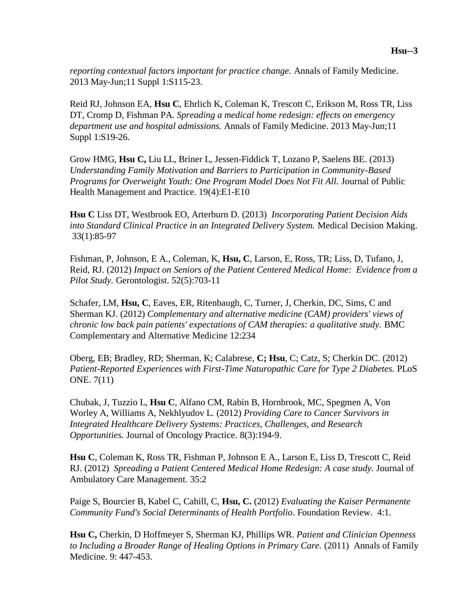*[reporting contextual factors important for practice change.](http://www.ncbi.nlm.nih.gov.offcampus.lib.washington.edu/pubmed/23690380)* Annals of Family Medicine. 2013 May-Jun;11 Suppl 1:S115-23.

Reid RJ, Johnson EA, **Hsu C**, Ehrlich K, Coleman K, Trescott C, Erikson M, Ross TR, Liss DT, Cromp D, Fishman PA*. [Spreading a medical home redesign: effects on emergency](http://www.ncbi.nlm.nih.gov.offcampus.lib.washington.edu/pubmed/23690382)  [department use and hospital admissions.](http://www.ncbi.nlm.nih.gov.offcampus.lib.washington.edu/pubmed/23690382)* Annals of Family Medicine. 2013 May-Jun;11 Suppl 1:S19-26.

Grow HMG, **Hsu C,** Liu LL, Briner L, Jessen-Fiddick T, Lozano P, Saelens BE. (2013) *Understanding Family Motivation and Barriers to Participation in Community-Based Programs for Overweight Youth: One Program Model Does Not Fit All.* Journal of Public Health Management and Practice. 19(4):E1-E10

**Hsu C** Liss DT, Westbrook EO, Arterburn D. (2013) *Incorporating Patient Decision Aids into Standard Clinical Practice in an Integrated Delivery System.* Medical Decision Making. 33(1):85-97

Fishman, P, Johnson, E A., Coleman, K, **Hsu, C**, Larson, E, Ross, TR; Liss, D, Tufano, J, Reid, RJ. (2012) *Impact on Seniors of the Patient Centered Medical Home: Evidence from a Pilot Study.* Gerontologist. 52(5):703-11

Schafer, LM, **Hsu, C**, Eaves, ER, Ritenbaugh, C, Turner, J, Cherkin, DC, Sims, C and Sherman KJ. (2012) *Complementary and alternative medicine (CAM) providers' views of chronic low back pain patients' expectations of CAM therapies: a qualitative study.* BMC Complementary and Alternative Medicine 12:234

Oberg, EB; Bradley, RD; Sherman, K; Calabrese, **C; Hsu**, C; Catz, S; Cherkin DC. (2012) *Patient-Reported Experiences with First-Time Naturopathic Care for Type 2 Diabetes.* PLoS ONE. 7(11)

Chubak, J, Tuzzio L, **Hsu C**, Alfano CM, Rabin B, Hornbrook, MC, Spegmen A, Von Worley A, Williams A, Nekhlyudov L. (2012) *Providing Care to Cancer Survivors in Integrated Healthcare Delivery Systems: Practices, Challenges, and Research Opportunities.* Journal of Oncology Practice. 8(3):194-9.

**Hsu C**, Coleman K, Ross TR, Fishman P, Johnson E A., Larson E, Liss D, Trescott C, Reid RJ. (2012) *Spreading a Patient Centered Medical Home Redesign: A case study.* Journal of Ambulatory Care Management. 35:2

Paige S, Bourcier B, Kabel C, Cahill, C, **Hsu, C.** (2012) *Evaluating the Kaiser Permanente Community Fund's Social Determinants of Health Portfolio*. Foundation Review. 4:1.

**Hsu C,** Cherkin, D Hoffmeyer S, Sherman KJ, Phillips WR. *Patient and Clinician Openness to Including a Broader Range of Healing Options in Primary Care.* (2011) Annals of Family Medicine. 9: 447-453.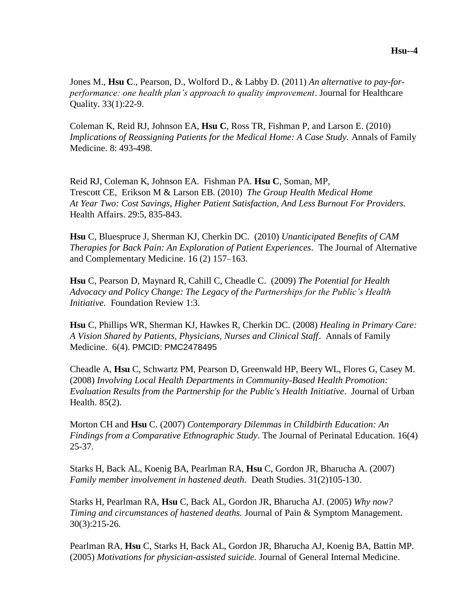Jones M., **Hsu C**., Pearson, D., Wolford D., & Labby D. (2011) *An alternative to pay-forperformance: one health plan's approach to quality improvement*. Journal for Healthcare Quality. 33(1):22-9.

Coleman K, Reid RJ, Johnson EA, **Hsu C**, Ross TR, Fishman P, and Larson E. (2010) *Implications of Reassigning Patients for the Medical Home: A Case Study.* Annals of Family Medicine. 8: 493-498.

Reid RJ, Coleman K, Johnson EA. Fishman PA. **Hsu C**, Soman, MP, Trescott CE, Erikson M & Larson EB. (2010) *The Group Health Medical Home At Year Two: Cost Savings, Higher Patient Satisfaction, And Less Burnout For Providers.* Health Affairs. 29:5, 835-843.

**Hsu** C, Bluespruce J, Sherman KJ, Cherkin DC. (2010) *Unanticipated Benefits of CAM Therapies for Back Pain: An Exploration of Patient Experiences.* The Journal of Alternative and Complementary Medicine. 16 (2) 157–163.

**Hsu** C, Pearson D, Maynard R, Cahill C, Cheadle C. (2009) *The Potential for Health Advocacy and Policy Change: The Legacy of the Partnerships for the Public's Health Initiative.* Foundation Review 1:3.

**Hsu** C, Phillips WR, Sherman KJ, Hawkes R, Cherkin DC. (2008) *Healing in Primary Care: A Vision Shared by Patients, Physicians, Nurses and Clinical Staff*. Annals of Family Medicine. 6(4). PMCID: PMC2478495

Cheadle A, **Hsu** C, Schwartz PM, Pearson D, Greenwald HP, Beery WL, Flores G, Casey M. (2008) *Involving Local Health Departments in Community-Based Health Promotion: Evaluation Results from the Partnership for the Public's Health Initiative.* Journal of Urban Health. 85(2).

Morton CH and **Hsu** C. (2007) *Contemporary Dilemmas in Childbirth Education: An Findings from a Comparative Ethnographic Study*. The Journal of Perinatal Education. 16(4) 25-37.

Starks H, Back AL, Koenig BA, Pearlman RA, **Hsu** C, Gordon JR, Bharucha A. (2007) *Family member involvement in hastened death.* Death Studies. 31(2)105-130.

Starks H, Pearlman RA, **Hsu** C, Back AL, Gordon JR, Bharucha AJ. (2005) *Why now? Timing and circumstances of hastened deaths.* Journal of Pain & Symptom Management. 30(3):215-26.

Pearlman RA, **Hsu** C, Starks H, Back AL, Gordon JR, Bharucha AJ, Koenig BA, Battin MP. (2005) *Motivations for physician-assisted suicide.* Journal of General Internal Medicine.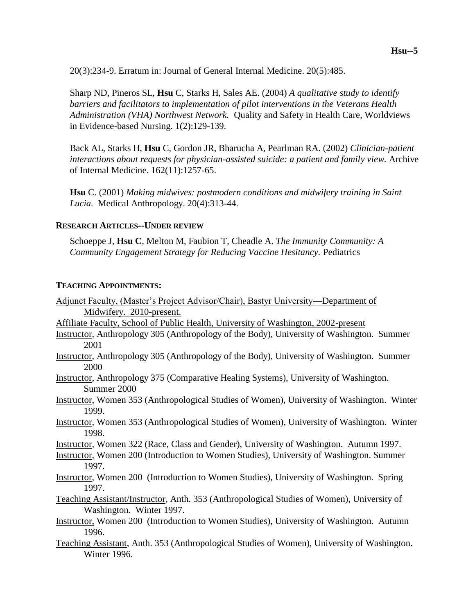20(3):234-9. Erratum in: Journal of General Internal Medicine. 20(5):485.

Sharp ND, Pineros SL, **Hsu** C, Starks H, Sales AE. (2004) *A qualitative study to identify barriers and facilitators to implementation of pilot interventions in the Veterans Health Administration (VHA) Northwest Network.* Quality and Safety in Health Care, Worldviews in Evidence-based Nursing. 1(2):129-139.

Back AL, Starks H, **Hsu** C, Gordon JR, Bharucha A, Pearlman RA. (2002) *Clinician-patient interactions about requests for physician-assisted suicide: a patient and family view.* Archive of Internal Medicine. 162(11):1257-65.

**Hsu** C. (2001) *Making midwives: postmodern conditions and midwifery training in Saint Lucia.* Medical Anthropology. 20(4):313-44.

### **RESEARCH ARTICLES--UNDER REVIEW**

Schoeppe J, **Hsu C**, Melton M, Faubion T, Cheadle A. *The Immunity Community: A Community Engagement Strategy for Reducing Vaccine Hesitancy.* Pediatrics

#### **TEACHING APPOINTMENTS:**

|                          |  | Adjunct Faculty, (Master's Project Advisor/Chair), Bastyr University—Department of |
|--------------------------|--|------------------------------------------------------------------------------------|
| Midwifery. 2010-present. |  |                                                                                    |

- Affiliate Faculty, School of Public Health, University of Washington, 2002-present
- Instructor, Anthropology 305 (Anthropology of the Body), University of Washington. Summer 2001
- Instructor, Anthropology 305 (Anthropology of the Body), University of Washington. Summer 2000
- Instructor, Anthropology 375 (Comparative Healing Systems), University of Washington. Summer 2000
- Instructor, Women 353 (Anthropological Studies of Women), University of Washington. Winter 1999.
- Instructor, Women 353 (Anthropological Studies of Women), University of Washington. Winter 1998.
- Instructor, Women 322 (Race, Class and Gender), University of Washington. Autumn 1997.
- Instructor, Women 200 (Introduction to Women Studies), University of Washington. Summer 1997.
- Instructor, Women 200 (Introduction to Women Studies), University of Washington. Spring 1997.
- Teaching Assistant/Instructor, Anth. 353 (Anthropological Studies of Women), University of Washington. Winter 1997.
- Instructor, Women 200 (Introduction to Women Studies), University of Washington. Autumn 1996.
- Teaching Assistant, Anth. 353 (Anthropological Studies of Women), University of Washington. Winter 1996.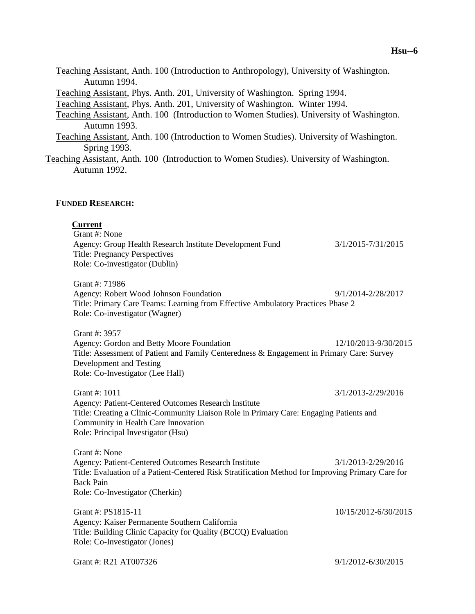Teaching Assistant, Anth. 100 (Introduction to Anthropology), University of Washington. Autumn 1994. Teaching Assistant, Phys. Anth. 201, University of Washington. Spring 1994. Teaching Assistant, Phys. Anth. 201, University of Washington. Winter 1994. Teaching Assistant, Anth. 100 (Introduction to Women Studies). University of Washington. Autumn 1993. Teaching Assistant, Anth. 100 (Introduction to Women Studies). University of Washington. Spring 1993. Teaching Assistant, Anth. 100 (Introduction to Women Studies). University of Washington. Autumn 1992. **FUNDED RESEARCH: Current** Grant #: None Agency: Group Health Research Institute Development Fund 3/1/2015-7/31/2015 Title: Pregnancy Perspectives Role: Co-investigator (Dublin) Grant #: 71986 Agency: Robert Wood Johnson Foundation 9/1/2014-2/28/2017

Title: Primary Care Teams: Learning from Effective Ambulatory Practices Phase 2 Role: Co-investigator (Wagner)

Grant #: 3957 Agency: Gordon and Betty Moore Foundation 12/10/2013-9/30/2015 Title: Assessment of Patient and Family Centeredness & Engagement in Primary Care: Survey Development and Testing Role: Co-Investigator (Lee Hall)

Grant #: 1011 3/1/2013-2/29/2016 Agency: Patient-Centered Outcomes Research Institute Title: Creating a Clinic-Community Liaison Role in Primary Care: Engaging Patients and Community in Health Care Innovation Role: Principal Investigator (Hsu)

Grant #: None Agency: Patient-Centered Outcomes Research Institute 3/1/2013-2/29/2016 Title: Evaluation of a Patient-Centered Risk Stratification Method for Improving Primary Care for Back Pain Role: Co-Investigator (Cherkin)

Grant #: PS1815-11 10/15/2012-6/30/2015 Agency: Kaiser Permanente Southern California Title: Building Clinic Capacity for Quality (BCCQ) Evaluation Role: Co-Investigator (Jones)

Grant #: R21 AT007326 9/1/2012-6/30/2015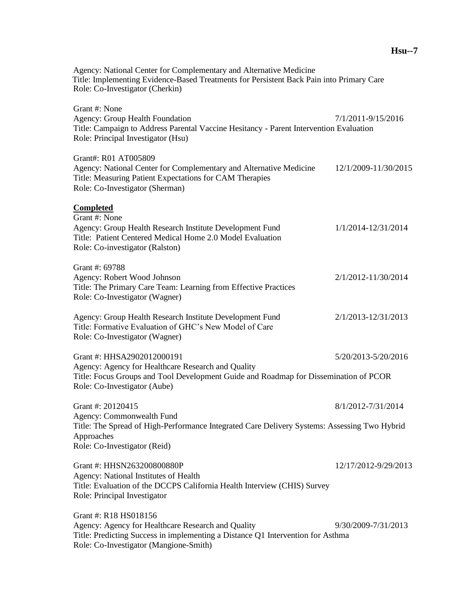Agency: National Center for Complementary and Alternative Medicine Title: Implementing Evidence-Based Treatments for Persistent Back Pain into Primary Care Role: Co-Investigator (Cherkin) Grant #: None Agency: Group Health Foundation 7/1/2011-9/15/2016 Title: Campaign to Address Parental Vaccine Hesitancy - Parent Intervention Evaluation Role: Principal Investigator (Hsu) Grant#: R01 AT005809 Agency: National Center for Complementary and Alternative Medicine 12/1/2009-11/30/2015 Title: Measuring Patient Expectations for CAM Therapies Role: Co-Investigator (Sherman) **Completed**  Grant #: None Agency: Group Health Research Institute Development Fund 1/1/2014-12/31/2014 Title: Patient Centered Medical Home 2.0 Model Evaluation Role: Co-investigator (Ralston)

Grant #: 69788 Agency: Robert Wood Johnson 2/1/2012-11/30/2014 Title: The Primary Care Team: Learning from Effective Practices Role: Co-Investigator (Wagner) Agency: Group Health Research Institute Development Fund 2/1/2013-12/31/2013 Title: Formative Evaluation of GHC's New Model of Care

Role: Co-Investigator (Wagner) Grant #: HHSA2902012000191 5/20/2013-5/20/2016

Agency: Agency for Healthcare Research and Quality Title: Focus Groups and Tool Development Guide and Roadmap for Dissemination of PCOR Role: Co-Investigator (Aube)

Grant #: 20120415 8/1/2012-7/31/2014 Agency: Commonwealth Fund Title: The Spread of High-Performance Integrated Care Delivery Systems: Assessing Two Hybrid Approaches Role: Co-Investigator (Reid)

Grant #: HHSN263200800880P 12/17/2012-9/29/2013 Agency: National Institutes of Health Title: Evaluation of the DCCPS California Health Interview (CHIS) Survey Role: Principal Investigator

Grant #: R18 HS018156 Agency: Agency for Healthcare Research and Quality 9/30/2009-7/31/2013 Title: Predicting Success in implementing a Distance Q1 Intervention for Asthma Role: Co-Investigator (Mangione-Smith)

#### **Hsu--7**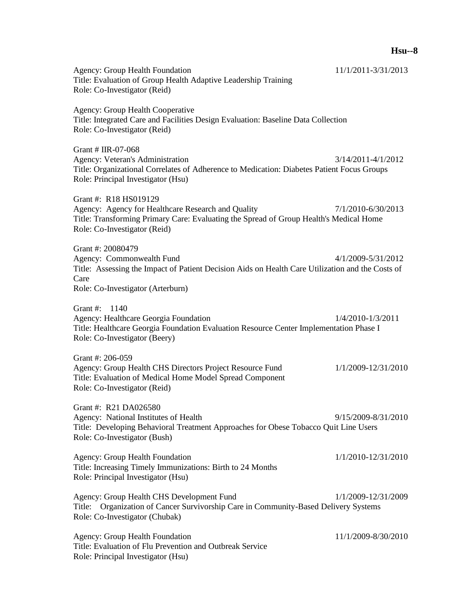| <b>Agency: Group Health Foundation</b><br>Title: Evaluation of Group Health Adaptive Leadership Training<br>Role: Co-Investigator (Reid)                                                              | 11/1/2011-3/31/2013    |
|-------------------------------------------------------------------------------------------------------------------------------------------------------------------------------------------------------|------------------------|
| <b>Agency: Group Health Cooperative</b><br>Title: Integrated Care and Facilities Design Evaluation: Baseline Data Collection<br>Role: Co-Investigator (Reid)                                          |                        |
| Grant # IIR-07-068<br><b>Agency: Veteran's Administration</b><br>Title: Organizational Correlates of Adherence to Medication: Diabetes Patient Focus Groups<br>Role: Principal Investigator (Hsu)     | $3/14/2011 - 4/1/2012$ |
| Grant #: R18 HS019129<br>Agency: Agency for Healthcare Research and Quality<br>Title: Transforming Primary Care: Evaluating the Spread of Group Health's Medical Home<br>Role: Co-Investigator (Reid) | 7/1/2010-6/30/2013     |
| Grant #: 20080479<br>Agency: Commonwealth Fund<br>Title: Assessing the Impact of Patient Decision Aids on Health Care Utilization and the Costs of<br>Care<br>Role: Co-Investigator (Arterburn)       | 4/1/2009-5/31/2012     |
| Grant #: 1140<br>Agency: Healthcare Georgia Foundation<br>Title: Healthcare Georgia Foundation Evaluation Resource Center Implementation Phase I<br>Role: Co-Investigator (Beery)                     | 1/4/2010-1/3/2011      |
| Grant #: 206-059<br>Agency: Group Health CHS Directors Project Resource Fund<br>Title: Evaluation of Medical Home Model Spread Component<br>Role: Co-Investigator (Reid)                              | 1/1/2009-12/31/2010    |
| Grant #: R21 DA026580<br>Agency: National Institutes of Health<br>Title: Developing Behavioral Treatment Approaches for Obese Tobacco Quit Line Users<br>Role: Co-Investigator (Bush)                 | 9/15/2009-8/31/2010    |
| <b>Agency: Group Health Foundation</b><br>Title: Increasing Timely Immunizations: Birth to 24 Months<br>Role: Principal Investigator (Hsu)                                                            | 1/1/2010-12/31/2010    |
| Agency: Group Health CHS Development Fund<br>Title: Organization of Cancer Survivorship Care in Community-Based Delivery Systems<br>Role: Co-Investigator (Chubak)                                    | 1/1/2009-12/31/2009    |
| <b>Agency: Group Health Foundation</b><br>Title: Evaluation of Flu Prevention and Outbreak Service<br>Role: Principal Investigator (Hsu)                                                              | 11/1/2009-8/30/2010    |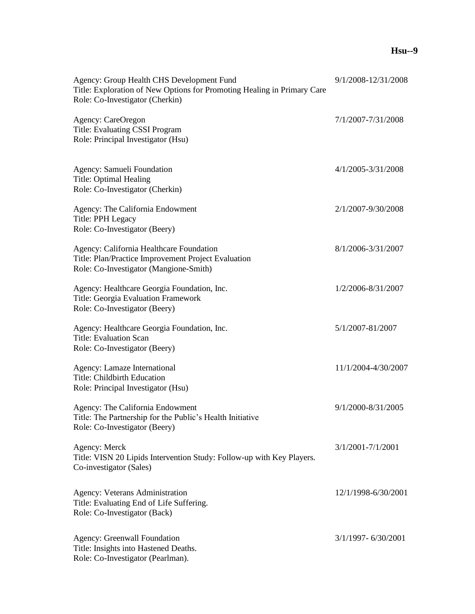| Agency: Group Health CHS Development Fund<br>Title: Exploration of New Options for Promoting Healing in Primary Care<br>Role: Co-Investigator (Cherkin) | 9/1/2008-12/31/2008 |
|---------------------------------------------------------------------------------------------------------------------------------------------------------|---------------------|
| <b>Agency: CareOregon</b><br>Title: Evaluating CSSI Program<br>Role: Principal Investigator (Hsu)                                                       | 7/1/2007-7/31/2008  |
| Agency: Samueli Foundation<br>Title: Optimal Healing<br>Role: Co-Investigator (Cherkin)                                                                 | 4/1/2005-3/31/2008  |
| Agency: The California Endowment<br>Title: PPH Legacy<br>Role: Co-Investigator (Beery)                                                                  | 2/1/2007-9/30/2008  |
| Agency: California Healthcare Foundation<br>Title: Plan/Practice Improvement Project Evaluation<br>Role: Co-Investigator (Mangione-Smith)               | 8/1/2006-3/31/2007  |
| Agency: Healthcare Georgia Foundation, Inc.<br>Title: Georgia Evaluation Framework<br>Role: Co-Investigator (Beery)                                     | 1/2/2006-8/31/2007  |
| Agency: Healthcare Georgia Foundation, Inc.<br><b>Title: Evaluation Scan</b><br>Role: Co-Investigator (Beery)                                           | 5/1/2007-81/2007    |
| Agency: Lamaze International<br>Title: Childbirth Education<br>Role: Principal Investigator (Hsu)                                                       | 11/1/2004-4/30/2007 |
| Agency: The California Endowment<br>Title: The Partnership for the Public's Health Initiative<br>Role: Co-Investigator (Beery)                          | 9/1/2000-8/31/2005  |
| Agency: Merck<br>Title: VISN 20 Lipids Intervention Study: Follow-up with Key Players.<br>Co-investigator (Sales)                                       | 3/1/2001-7/1/2001   |
| <b>Agency: Veterans Administration</b><br>Title: Evaluating End of Life Suffering.<br>Role: Co-Investigator (Back)                                      | 12/1/1998-6/30/2001 |
| <b>Agency: Greenwall Foundation</b><br>Title: Insights into Hastened Deaths.<br>Role: Co-Investigator (Pearlman).                                       | 3/1/1997-6/30/2001  |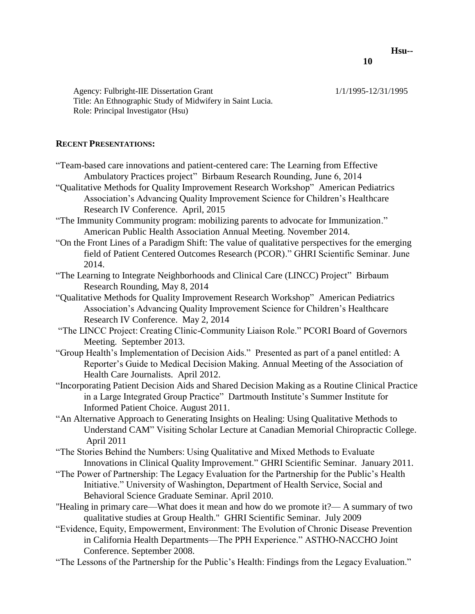Agency: Fulbright-IIE Dissertation Grant 1/1/1995-12/31/1995 Title: An Ethnographic Study of Midwifery in Saint Lucia. Role: Principal Investigator (Hsu)

# **RECENT PRESENTATIONS:**

- "Team-based care innovations and patient-centered care: The Learning from Effective Ambulatory Practices project" Birbaum Research Rounding, June 6, 2014
- "Qualitative Methods for Quality Improvement Research Workshop" American Pediatrics Association's Advancing Quality Improvement Science for Children's Healthcare Research IV Conference. April, 2015
- "The Immunity Community program: mobilizing parents to advocate for Immunization." American Public Health Association Annual Meeting. November 2014.
- "On the Front Lines of a Paradigm Shift: The value of qualitative perspectives for the emerging field of Patient Centered Outcomes Research (PCOR)." GHRI Scientific Seminar. June 2014.
- "The Learning to Integrate Neighborhoods and Clinical Care (LINCC) Project" Birbaum Research Rounding, May 8, 2014
- "Qualitative Methods for Quality Improvement Research Workshop" American Pediatrics Association's Advancing Quality Improvement Science for Children's Healthcare Research IV Conference. May 2, 2014
- "The LINCC Project: Creating Clinic-Community Liaison Role." PCORI Board of Governors Meeting. September 2013.
- "Group Health's Implementation of Decision Aids." Presented as part of a panel entitled: A Reporter's Guide to Medical Decision Making. Annual Meeting of the Association of Health Care Journalists. April 2012.
- "Incorporating Patient Decision Aids and Shared Decision Making as a Routine Clinical Practice in a Large Integrated Group Practice" Dartmouth Institute's Summer Institute for Informed Patient Choice. August 2011.
- "An Alternative Approach to Generating Insights on Healing: Using Qualitative Methods to Understand CAM" Visiting Scholar Lecture at Canadian Memorial Chiropractic College. April 2011
- "The Stories Behind the Numbers: Using Qualitative and Mixed Methods to Evaluate Innovations in Clinical Quality Improvement." GHRI Scientific Seminar. January 2011.
- "The Power of Partnership: The Legacy Evaluation for the Partnership for the Public's Health Initiative." University of Washington, Department of Health Service, Social and Behavioral Science Graduate Seminar. April 2010.
- "Healing in primary care—What does it mean and how do we promote it?— A summary of two qualitative studies at Group Health." GHRI Scientific Seminar. July 2009
- "Evidence, Equity, Empowerment, Environment: The Evolution of Chronic Disease Prevention in California Health Departments—The PPH Experience." ASTHO-NACCHO Joint Conference. September 2008.
- "The Lessons of the Partnership for the Public's Health: Findings from the Legacy Evaluation."